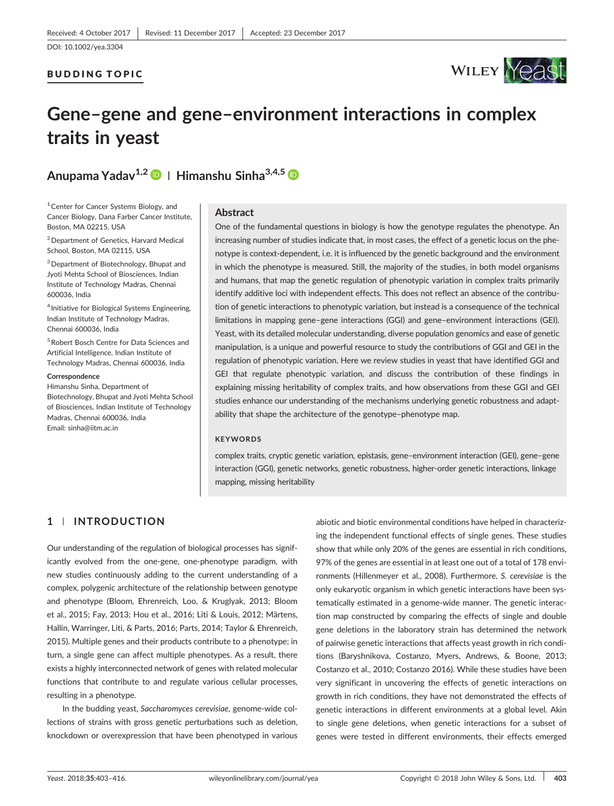### BUDDING TOPIC



# **Gene–gene and gene–environment interactions in complex traits in yeast**

**Anupama Yadav1,2 <sup>|</sup> Himanshu Sinha3,4,5**

<sup>1</sup> Center for Cancer Systems Biology, and Cancer Biology, Dana Farber Cancer Institute, Boston, MA 02215, USA

2Department of Genetics, Harvard Medical School, Boston, MA 02115, USA

3Department of Biotechnology, Bhupat and Jyoti Mehta School of Biosciences, Indian Institute of Technology Madras, Chennai 600036, India

<sup>4</sup> Initiative for Biological Systems Engineering, Indian Institute of Technology Madras, Chennai 600036, India

5Robert Bosch Centre for Data Sciences and Artificial Intelligence, Indian Institute of Technology Madras, Chennai 600036, India

#### **Correspondence**

Himanshu Sinha, Department of Biotechnology, Bhupat and Jyoti Mehta School of Biosciences, Indian Institute of Technology Madras, Chennai 600036, India Email: [sinha@iitm.ac.in](mailto:sinha@iitm.ac.in)

### **Abstract**

One of the fundamental questions in biology is how the genotype regulates the phenotype. An increasing number of studies indicate that, in most cases, the effect of a genetic locus on the phenotype is context-dependent, i.e. it is influenced by the genetic background and the environment in which the phenotype is measured. Still, the majority of the studies, in both model organisms and humans, that map the genetic regulation of phenotypic variation in complex traits primarily identify additive loci with independent effects. This does not reflect an absence of the contribution of genetic interactions to phenotypic variation, but instead is a consequence of the technical limitations in mapping gene–gene interactions (GGI) and gene–environment interactions (GEI). Yeast, with its detailed molecular understanding, diverse population genomics and ease of genetic manipulation, is a unique and powerful resource to study the contributions of GGI and GEI in the regulation of phenotypic variation. Here we review studies in yeast that have identified GGI and GEI that regulate phenotypic variation, and discuss the contribution of these findings in explaining missing heritability of complex traits, and how observations from these GGI and GEI studies enhance our understanding of the mechanisms underlying genetic robustness and adaptability that shape the architecture of the genotype–phenotype map.

### **KEYWORDS**

complex traits, cryptic genetic variation, epistasis, gene–environment interaction (GEI), gene–gene interaction (GGI), genetic networks, genetic robustness, higher‐order genetic interactions, linkage mapping, missing heritability

# **1** | **INTRODUCTION**

Our understanding of the regulation of biological processes has significantly evolved from the one‐gene, one‐phenotype paradigm, with new studies continuously adding to the current understanding of a complex, polygenic architecture of the relationship between genotype and phenotype (Bloom, Ehrenreich, Loo, & Kruglyak, 2013; Bloom et al., 2015; Fay, 2013; Hou et al., 2016; Liti & Louis, 2012; Märtens, Hallin, Warringer, Liti, & Parts, 2016; Parts, 2014; Taylor & Ehrenreich, 2015). Multiple genes and their products contribute to a phenotype; in turn, a single gene can affect multiple phenotypes. As a result, there exists a highly interconnected network of genes with related molecular functions that contribute to and regulate various cellular processes, resulting in a phenotype.

In the budding yeast, *Saccharomyces cerevisiae*, genome‐wide collections of strains with gross genetic perturbations such as deletion, knockdown or overexpression that have been phenotyped in various

abiotic and biotic environmental conditions have helped in characterizing the independent functional effects of single genes. These studies show that while only 20% of the genes are essential in rich conditions, 97% of the genes are essential in at least one out of a total of 178 environments (Hillenmeyer et al., 2008). Furthermore, *S. cerevisiae* is the only eukaryotic organism in which genetic interactions have been systematically estimated in a genome‐wide manner. The genetic interaction map constructed by comparing the effects of single and double gene deletions in the laboratory strain has determined the network of pairwise genetic interactions that affects yeast growth in rich conditions (Baryshnikova, Costanzo, Myers, Andrews, & Boone, 2013; Costanzo et al., 2010; Costanzo 2016). While these studies have been very significant in uncovering the effects of genetic interactions on growth in rich conditions, they have not demonstrated the effects of genetic interactions in different environments at a global level. Akin to single gene deletions, when genetic interactions for a subset of genes were tested in different environments, their effects emerged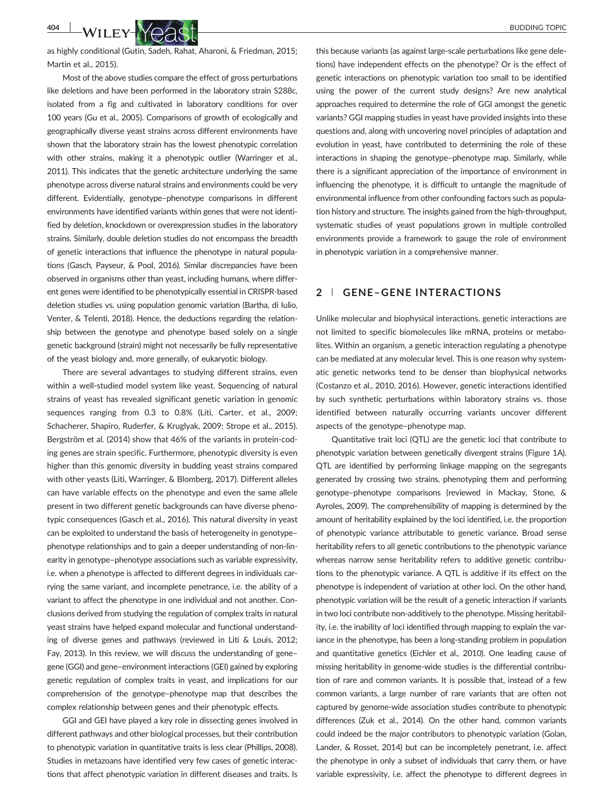

as highly conditional (Gutin, Sadeh, Rahat, Aharoni, & Friedman, 2015; Martin et al., 2015).

Most of the above studies compare the effect of gross perturbations like deletions and have been performed in the laboratory strain S288c, isolated from a fig and cultivated in laboratory conditions for over 100 years (Gu et al., 2005). Comparisons of growth of ecologically and geographically diverse yeast strains across different environments have shown that the laboratory strain has the lowest phenotypic correlation with other strains, making it a phenotypic outlier (Warringer et al., 2011). This indicates that the genetic architecture underlying the same phenotype across diverse natural strains and environments could be very different. Evidentially, genotype–phenotype comparisons in different environments have identified variants within genes that were not identified by deletion, knockdown or overexpression studies in the laboratory strains. Similarly, double deletion studies do not encompass the breadth of genetic interactions that influence the phenotype in natural populations (Gasch, Payseur, & Pool, 2016). Similar discrepancies have been observed in organisms other than yeast, including humans, where different genes were identified to be phenotypically essential in CRISPR‐based deletion studies vs. using population genomic variation (Bartha, di Iulio, Venter, & Telenti, 2018). Hence, the deductions regarding the relationship between the genotype and phenotype based solely on a single genetic background (strain) might not necessarily be fully representative of the yeast biology and, more generally, of eukaryotic biology.

There are several advantages to studying different strains, even within a well‐studied model system like yeast. Sequencing of natural strains of yeast has revealed significant genetic variation in genomic sequences ranging from 0.3 to 0.8% (Liti, Carter, et al., 2009; Schacherer, Shapiro, Ruderfer, & Kruglyak, 2009; Strope et al., 2015). Bergström et al. (2014) show that 46% of the variants in protein‐coding genes are strain specific. Furthermore, phenotypic diversity is even higher than this genomic diversity in budding yeast strains compared with other yeasts (Liti, Warringer, & Blomberg, 2017). Different alleles can have variable effects on the phenotype and even the same allele present in two different genetic backgrounds can have diverse phenotypic consequences (Gasch et al., 2016). This natural diversity in yeast can be exploited to understand the basis of heterogeneity in genotype– phenotype relationships and to gain a deeper understanding of non‐linearity in genotype–phenotype associations such as variable expressivity, i.e. when a phenotype is affected to different degrees in individuals carrying the same variant, and incomplete penetrance, i.e. the ability of a variant to affect the phenotype in one individual and not another. Conclusions derived from studying the regulation of complex traits in natural yeast strains have helped expand molecular and functional understanding of diverse genes and pathways (reviewed in Liti & Louis, 2012; Fay, 2013). In this review, we will discuss the understanding of gene– gene (GGI) and gene–environment interactions (GEI) gained by exploring genetic regulation of complex traits in yeast, and implications for our comprehension of the genotype–phenotype map that describes the complex relationship between genes and their phenotypic effects.

GGI and GEI have played a key role in dissecting genes involved in different pathways and other biological processes, but their contribution to phenotypic variation in quantitative traits is less clear (Phillips, 2008). Studies in metazoans have identified very few cases of genetic interactions that affect phenotypic variation in different diseases and traits. Is

this because variants (as against large‐scale perturbations like gene deletions) have independent effects on the phenotype? Or is the effect of genetic interactions on phenotypic variation too small to be identified using the power of the current study designs? Are new analytical approaches required to determine the role of GGI amongst the genetic variants? GGI mapping studies in yeast have provided insights into these questions and, along with uncovering novel principles of adaptation and evolution in yeast, have contributed to determining the role of these interactions in shaping the genotype–phenotype map. Similarly, while there is a significant appreciation of the importance of environment in influencing the phenotype, it is difficult to untangle the magnitude of environmental influence from other confounding factors such as population history and structure. The insights gained from the high-throughput, systematic studies of yeast populations grown in multiple controlled environments provide a framework to gauge the role of environment in phenotypic variation in a comprehensive manner.

### **2** | **GENE–GENE INTERACTIONS**

Unlike molecular and biophysical interactions, genetic interactions are not limited to specific biomolecules like mRNA, proteins or metabolites. Within an organism, a genetic interaction regulating a phenotype can be mediated at any molecular level. This is one reason why systematic genetic networks tend to be denser than biophysical networks (Costanzo et al., 2010, 2016). However, genetic interactions identified by such synthetic perturbations within laboratory strains vs. those identified between naturally occurring variants uncover different aspects of the genotype–phenotype map.

Quantitative trait loci (QTL) are the genetic loci that contribute to phenotypic variation between genetically divergent strains (Figure 1A). QTL are identified by performing linkage mapping on the segregants generated by crossing two strains, phenotyping them and performing genotype–phenotype comparisons (reviewed in Mackay, Stone, & Ayroles, 2009). The comprehensibility of mapping is determined by the amount of heritability explained by the loci identified, i.e. the proportion of phenotypic variance attributable to genetic variance. Broad sense heritability refers to all genetic contributions to the phenotypic variance whereas narrow sense heritability refers to additive genetic contributions to the phenotypic variance. A QTL is additive if its effect on the phenotype is independent of variation at other loci. On the other hand, phenotypic variation will be the result of a genetic interaction if variants in two loci contribute non‐additively to the phenotype. Missing heritability, i.e. the inability of loci identified through mapping to explain the variance in the phenotype, has been a long-standing problem in population and quantitative genetics (Eichler et al., 2010). One leading cause of missing heritability in genome‐wide studies is the differential contribution of rare and common variants. It is possible that, instead of a few common variants, a large number of rare variants that are often not captured by genome‐wide association studies contribute to phenotypic differences (Zuk et al., 2014). On the other hand, common variants could indeed be the major contributors to phenotypic variation (Golan, Lander, & Rosset, 2014) but can be incompletely penetrant, i.e. affect the phenotype in only a subset of individuals that carry them, or have variable expressivity, i.e. affect the phenotype to different degrees in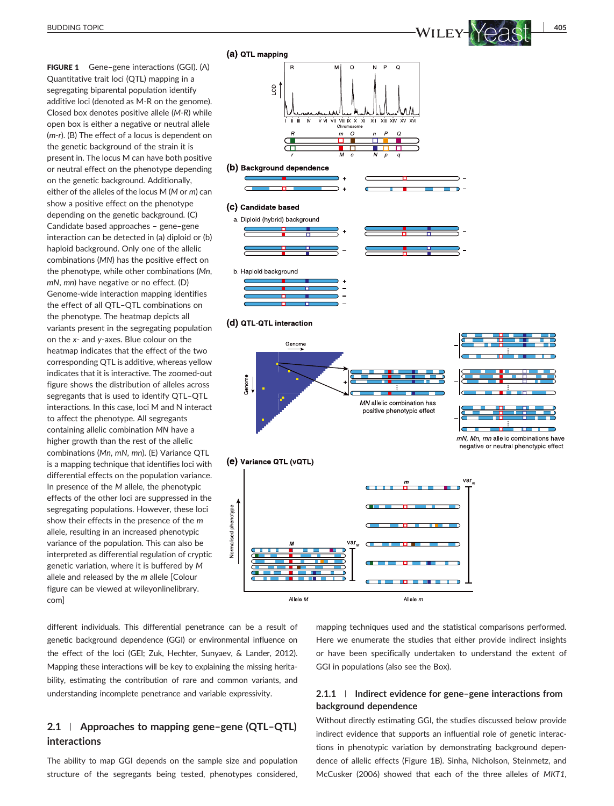FIGURE 1 Gene-gene interactions (GGI). (A) Quantitative trait loci (QTL) mapping in a segregating biparental population identify additive loci (denoted as M‐R on the genome). Closed box denotes positive allele (*M‐R*) while open box is either a negative or neutral allele (*m‐r*). (B) The effect of a locus is dependent on the genetic background of the strain it is present in. The locus M can have both positive or neutral effect on the phenotype depending on the genetic background. Additionally, either of the alleles of the locus M (*M* or *m*) can show a positive effect on the phenotype depending on the genetic background. (C) Candidate based approaches – gene–gene interaction can be detected in (a) diploid or (b) haploid background. Only one of the allelic combinations (*MN*) has the positive effect on the phenotype, while other combinations (*Mn*, *mN*, *mn*) have negative or no effect. (D) Genome‐wide interaction mapping identifies the effect of all QTL–QTL combinations on the phenotype. The heatmap depicts all variants present in the segregating population on the *x*‐ and *y*‐axes. Blue colour on the heatmap indicates that the effect of the two corresponding QTL is additive, whereas yellow indicates that it is interactive. The zoomed‐out figure shows the distribution of alleles across segregants that is used to identify QTL–QTL interactions. In this case, loci M and N interact to affect the phenotype. All segregants containing allelic combination *MN* have a higher growth than the rest of the allelic combinations (*Mn*, *mN*, *mn*). (E) Variance QTL is a mapping technique that identifies loci with differential effects on the population variance. In presence of the *M* allele, the phenotypic effects of the other loci are suppressed in the segregating populations. However, these loci show their effects in the presence of the *m* allele, resulting in an increased phenotypic variance of the population. This can also be interpreted as differential regulation of cryptic genetic variation, where it is buffered by *M* allele and released by the *m* allele [Colour figure can be viewed at [wileyonlinelibrary.](http://wileyonlinelibrary.com) [com](http://wileyonlinelibrary.com)]

 $\overline{c}$ P  $\circ$  $\overline{6}$ VII VIII IX X<br>Chromosol T i i т.,  $\overline{u}$  $\overline{m}$  $\Omega$  $\Box$ (b) Background dependence (c) Candidate based a. Diploid (hybrid) background b. Haploid background (d) QTL-QTL interaction Genome Genome MN allelic combination has positive phenotypic effect mN, Mn, mn allelic combinations have negative or neutral phenotypic effect (e) Variance QTL (vQTL)

(a) QTL mapping



different individuals. This differential penetrance can be a result of genetic background dependence (GGI) or environmental influence on the effect of the loci (GEI; Zuk, Hechter, Sunyaev, & Lander, 2012). Mapping these interactions will be key to explaining the missing heritability, estimating the contribution of rare and common variants, and understanding incomplete penetrance and variable expressivity.

# **2.1** | **Approaches to mapping gene–gene (QTL–QTL) interactions**

The ability to map GGI depends on the sample size and population structure of the segregants being tested, phenotypes considered,

mapping techniques used and the statistical comparisons performed. Here we enumerate the studies that either provide indirect insights or have been specifically undertaken to understand the extent of GGI in populations (also see the Box).

# **2.1.1** | **Indirect evidence for gene–gene interactions from background dependence**

Without directly estimating GGI, the studies discussed below provide indirect evidence that supports an influential role of genetic interactions in phenotypic variation by demonstrating background dependence of allelic effects (Figure 1B). Sinha, Nicholson, Steinmetz, and McCusker (2006) showed that each of the three alleles of *MKT1*,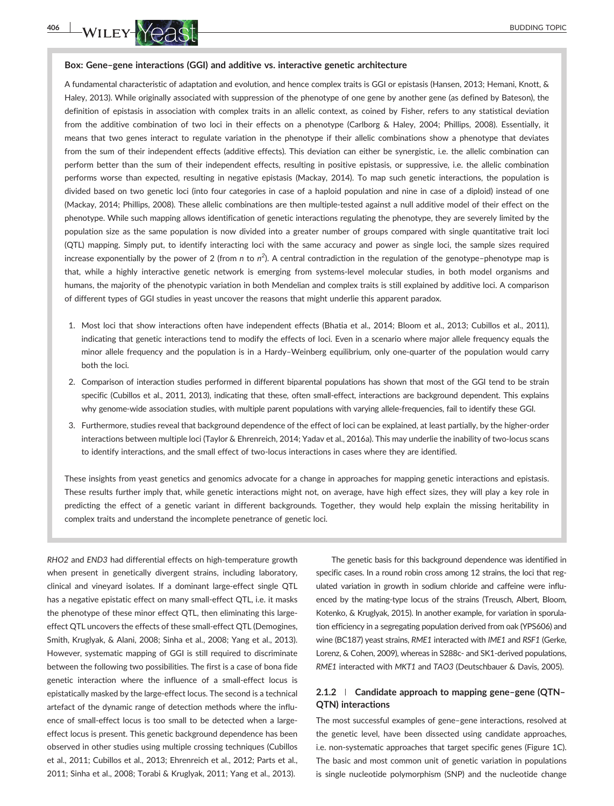

### **Box: Gene–gene interactions (GGI) and additive vs. interactive genetic architecture**

A fundamental characteristic of adaptation and evolution, and hence complex traits is GGI or epistasis (Hansen, 2013; Hemani, Knott, & Haley, 2013). While originally associated with suppression of the phenotype of one gene by another gene (as defined by Bateson), the definition of epistasis in association with complex traits in an allelic context, as coined by Fisher, refers to any statistical deviation from the additive combination of two loci in their effects on a phenotype (Carlborg & Haley, 2004; Phillips, 2008). Essentially, it means that two genes interact to regulate variation in the phenotype if their allelic combinations show a phenotype that deviates from the sum of their independent effects (additive effects). This deviation can either be synergistic, i.e. the allelic combination can perform better than the sum of their independent effects, resulting in positive epistasis, or suppressive, i.e. the allelic combination performs worse than expected, resulting in negative epistasis (Mackay, 2014). To map such genetic interactions, the population is divided based on two genetic loci (into four categories in case of a haploid population and nine in case of a diploid) instead of one (Mackay, 2014; Phillips, 2008). These allelic combinations are then multiple‐tested against a null additive model of their effect on the phenotype. While such mapping allows identification of genetic interactions regulating the phenotype, they are severely limited by the population size as the same population is now divided into a greater number of groups compared with single quantitative trait loci (QTL) mapping. Simply put, to identify interacting loci with the same accuracy and power as single loci, the sample sizes required increase exponentially by the power of 2 (from *n* to *n*<sup>2</sup>). A central contradiction in the regulation of the genotype–phenotype map is that, while a highly interactive genetic network is emerging from systems‐level molecular studies, in both model organisms and humans, the majority of the phenotypic variation in both Mendelian and complex traits is still explained by additive loci. A comparison of different types of GGI studies in yeast uncover the reasons that might underlie this apparent paradox.

- 1. Most loci that show interactions often have independent effects (Bhatia et al., 2014; Bloom et al., 2013; Cubillos et al., 2011), indicating that genetic interactions tend to modify the effects of loci. Even in a scenario where major allele frequency equals the minor allele frequency and the population is in a Hardy-Weinberg equilibrium, only one-quarter of the population would carry both the loci.
- 2. Comparison of interaction studies performed in different biparental populations has shown that most of the GGI tend to be strain specific (Cubillos et al., 2011, 2013), indicating that these, often small-effect, interactions are background dependent. This explains why genome-wide association studies, with multiple parent populations with varying allele-frequencies, fail to identify these GGI.
- 3. Furthermore, studies reveal that background dependence of the effect of loci can be explained, at least partially, by the higher‐order interactions between multiple loci (Taylor & Ehrenreich, 2014; Yadav et al., 2016a). This may underlie the inability of two‐locus scans to identify interactions, and the small effect of two‐locus interactions in cases where they are identified.

These insights from yeast genetics and genomics advocate for a change in approaches for mapping genetic interactions and epistasis. These results further imply that, while genetic interactions might not, on average, have high effect sizes, they will play a key role in predicting the effect of a genetic variant in different backgrounds. Together, they would help explain the missing heritability in complex traits and understand the incomplete penetrance of genetic loci.

*RHO2* and *END3* had differential effects on high‐temperature growth when present in genetically divergent strains, including laboratory, clinical and vineyard isolates. If a dominant large‐effect single QTL has a negative epistatic effect on many small-effect QTL, i.e. it masks the phenotype of these minor effect QTL, then eliminating this large‐ effect QTL uncovers the effects of these small-effect QTL (Demogines, Smith, Kruglyak, & Alani, 2008; Sinha et al., 2008; Yang et al., 2013). However, systematic mapping of GGI is still required to discriminate between the following two possibilities. The first is a case of bona fide genetic interaction where the influence of a small‐effect locus is epistatically masked by the large‐effect locus. The second is a technical artefact of the dynamic range of detection methods where the influence of small-effect locus is too small to be detected when a largeeffect locus is present. This genetic background dependence has been observed in other studies using multiple crossing techniques (Cubillos et al., 2011; Cubillos et al., 2013; Ehrenreich et al., 2012; Parts et al., 2011; Sinha et al., 2008; Torabi & Kruglyak, 2011; Yang et al., 2013).

The genetic basis for this background dependence was identified in specific cases. In a round robin cross among 12 strains, the loci that regulated variation in growth in sodium chloride and caffeine were influenced by the mating‐type locus of the strains (Treusch, Albert, Bloom, Kotenko, & Kruglyak, 2015). In another example, for variation in sporulation efficiency in a segregating population derived from oak (YPS606) and wine (BC187) yeast strains, *RME1* interacted with *IME1* and *RSF1* (Gerke, Lorenz, & Cohen, 2009), whereas in S288c- and SK1-derived populations, *RME1* interacted with *MKT1* and *TAO3* (Deutschbauer & Davis, 2005).

## **2.1.2** | **Candidate approach to mapping gene–gene (QTN– QTN) interactions**

The most successful examples of gene–gene interactions, resolved at the genetic level, have been dissected using candidate approaches, i.e. non‐systematic approaches that target specific genes (Figure 1C). The basic and most common unit of genetic variation in populations is single nucleotide polymorphism (SNP) and the nucleotide change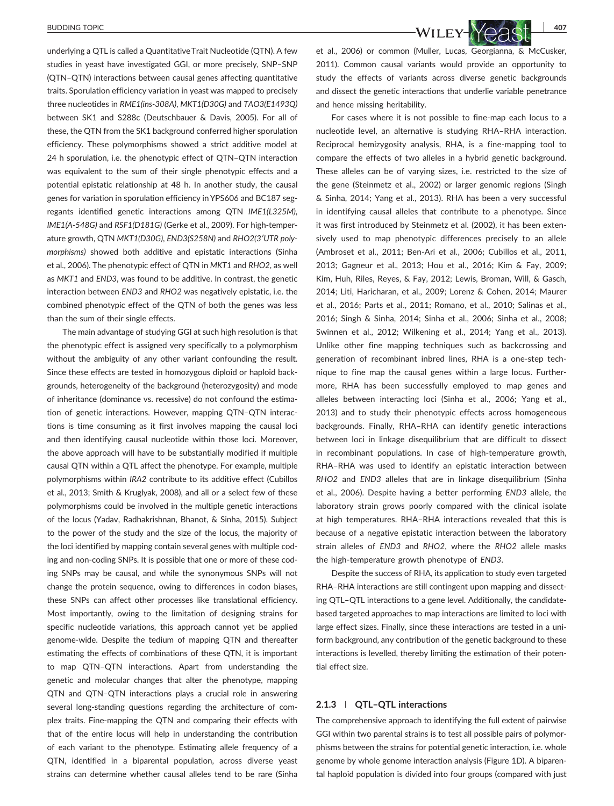underlying a QTL is called a Quantitative Trait Nucleotide (QTN). A few studies in yeast have investigated GGI, or more precisely, SNP–SNP (QTN–QTN) interactions between causal genes affecting quantitative traits. Sporulation efficiency variation in yeast was mapped to precisely three nucleotides in *RME1(ins‐308A)*, *MKT1(D30G)* and *TAO3(E1493Q)* between SK1 and S288c (Deutschbauer & Davis, 2005). For all of these, the QTN from the SK1 background conferred higher sporulation efficiency. These polymorphisms showed a strict additive model at 24 h sporulation, i.e. the phenotypic effect of QTN–QTN interaction was equivalent to the sum of their single phenotypic effects and a potential epistatic relationship at 48 h. In another study, the causal genes for variation in sporulation efficiency in YPS606 and BC187 segregants identified genetic interactions among QTN *IME1(L325M)*, *IME1(A‐548G)* and *RSF1(D181G)* (Gerke et al., 2009). For high‐temperature growth, QTN *MKT1(D30G)*, *END3(S258N)* and *RHO2(3′UTR polymorphisms)* showed both additive and epistatic interactions (Sinha et al., 2006). The phenotypic effect of QTN in *MKT1* and *RHO2*, as well as *MKT1* and *END3*, was found to be additive. In contrast, the genetic interaction between *END3* and *RHO2* was negatively epistatic, i.e. the combined phenotypic effect of the QTN of both the genes was less than the sum of their single effects.

The main advantage of studying GGI at such high resolution is that the phenotypic effect is assigned very specifically to a polymorphism without the ambiguity of any other variant confounding the result. Since these effects are tested in homozygous diploid or haploid backgrounds, heterogeneity of the background (heterozygosity) and mode of inheritance (dominance vs. recessive) do not confound the estimation of genetic interactions. However, mapping QTN–QTN interactions is time consuming as it first involves mapping the causal loci and then identifying causal nucleotide within those loci. Moreover, the above approach will have to be substantially modified if multiple causal QTN within a QTL affect the phenotype. For example, multiple polymorphisms within *IRA2* contribute to its additive effect (Cubillos et al., 2013; Smith & Kruglyak, 2008), and all or a select few of these polymorphisms could be involved in the multiple genetic interactions of the locus (Yadav, Radhakrishnan, Bhanot, & Sinha, 2015). Subject to the power of the study and the size of the locus, the majority of the loci identified by mapping contain several genes with multiple coding and non‐coding SNPs. It is possible that one or more of these coding SNPs may be causal, and while the synonymous SNPs will not change the protein sequence, owing to differences in codon biases, these SNPs can affect other processes like translational efficiency. Most importantly, owing to the limitation of designing strains for specific nucleotide variations, this approach cannot yet be applied genome‐wide. Despite the tedium of mapping QTN and thereafter estimating the effects of combinations of these QTN, it is important to map QTN–QTN interactions. Apart from understanding the genetic and molecular changes that alter the phenotype, mapping QTN and QTN–QTN interactions plays a crucial role in answering several long-standing questions regarding the architecture of complex traits. Fine‐mapping the QTN and comparing their effects with that of the entire locus will help in understanding the contribution of each variant to the phenotype. Estimating allele frequency of a QTN, identified in a biparental population, across diverse yeast strains can determine whether causal alleles tend to be rare (Sinha



et al., 2006) or common (Muller, Lucas, Georgianna, & McCusker, 2011). Common causal variants would provide an opportunity to study the effects of variants across diverse genetic backgrounds and dissect the genetic interactions that underlie variable penetrance and hence missing heritability.

For cases where it is not possible to fine‐map each locus to a nucleotide level, an alternative is studying RHA–RHA interaction. Reciprocal hemizygosity analysis, RHA, is a fine‐mapping tool to compare the effects of two alleles in a hybrid genetic background. These alleles can be of varying sizes, i.e. restricted to the size of the gene (Steinmetz et al., 2002) or larger genomic regions (Singh & Sinha, 2014; Yang et al., 2013). RHA has been a very successful in identifying causal alleles that contribute to a phenotype. Since it was first introduced by Steinmetz et al. (2002), it has been extensively used to map phenotypic differences precisely to an allele (Ambroset et al., 2011; Ben‐Ari et al., 2006; Cubillos et al., 2011, 2013; Gagneur et al., 2013; Hou et al., 2016; Kim & Fay, 2009; Kim, Huh, Riles, Reyes, & Fay, 2012; Lewis, Broman, Will, & Gasch, 2014; Liti, Haricharan, et al., 2009; Lorenz & Cohen, 2014; Maurer et al., 2016; Parts et al., 2011; Romano, et al., 2010; Salinas et al., 2016; Singh & Sinha, 2014; Sinha et al., 2006; Sinha et al., 2008; Swinnen et al., 2012; Wilkening et al., 2014; Yang et al., 2013). Unlike other fine mapping techniques such as backcrossing and generation of recombinant inbred lines, RHA is a one‐step technique to fine map the causal genes within a large locus. Furthermore, RHA has been successfully employed to map genes and alleles between interacting loci (Sinha et al., 2006; Yang et al., 2013) and to study their phenotypic effects across homogeneous backgrounds. Finally, RHA–RHA can identify genetic interactions between loci in linkage disequilibrium that are difficult to dissect in recombinant populations. In case of high-temperature growth, RHA–RHA was used to identify an epistatic interaction between *RHO2* and *END3* alleles that are in linkage disequilibrium (Sinha et al., 2006). Despite having a better performing *END3* allele, the laboratory strain grows poorly compared with the clinical isolate at high temperatures. RHA–RHA interactions revealed that this is because of a negative epistatic interaction between the laboratory strain alleles of *END3* and *RHO2*, where the *RHO2* allele masks the high‐temperature growth phenotype of *END3*.

Despite the success of RHA, its application to study even targeted RHA–RHA interactions are still contingent upon mapping and dissecting QTL–QTL interactions to a gene level. Additionally, the candidate‐ based targeted approaches to map interactions are limited to loci with large effect sizes. Finally, since these interactions are tested in a uniform background, any contribution of the genetic background to these interactions is levelled, thereby limiting the estimation of their potential effect size.

### **2.1.3** | **QTL–QTL interactions**

The comprehensive approach to identifying the full extent of pairwise GGI within two parental strains is to test all possible pairs of polymorphisms between the strains for potential genetic interaction, i.e. whole genome by whole genome interaction analysis (Figure 1D). A biparental haploid population is divided into four groups (compared with just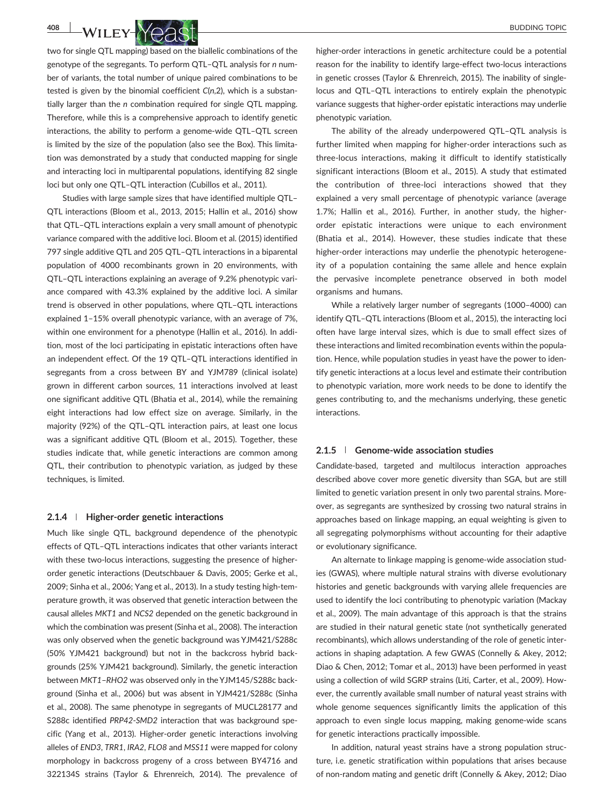

two for single QTL mapping) based on the biallelic combinations of the genotype of the segregants. To perform QTL–QTL analysis for *n* number of variants, the total number of unique paired combinations to be tested is given by the binomial coefficient *C*(*n*,2), which is a substantially larger than the *n* combination required for single QTL mapping. Therefore, while this is a comprehensive approach to identify genetic interactions, the ability to perform a genome‐wide QTL–QTL screen is limited by the size of the population (also see the Box). This limitation was demonstrated by a study that conducted mapping for single and interacting loci in multiparental populations, identifying 82 single loci but only one QTL–QTL interaction (Cubillos et al., 2011).

Studies with large sample sizes that have identified multiple QTL– QTL interactions (Bloom et al., 2013, 2015; Hallin et al., 2016) show that QTL–QTL interactions explain a very small amount of phenotypic variance compared with the additive loci. Bloom et al. (2015) identified 797 single additive QTL and 205 QTL–QTL interactions in a biparental population of 4000 recombinants grown in 20 environments, with QTL–QTL interactions explaining an average of 9.2% phenotypic variance compared with 43.3% explained by the additive loci. A similar trend is observed in other populations, where QTL–QTL interactions explained 1–15% overall phenotypic variance, with an average of 7%, within one environment for a phenotype (Hallin et al., 2016). In addition, most of the loci participating in epistatic interactions often have an independent effect. Of the 19 QTL–QTL interactions identified in segregants from a cross between BY and YJM789 (clinical isolate) grown in different carbon sources, 11 interactions involved at least one significant additive QTL (Bhatia et al., 2014), while the remaining eight interactions had low effect size on average. Similarly, in the majority (92%) of the QTL–QTL interaction pairs, at least one locus was a significant additive QTL (Bloom et al., 2015). Together, these studies indicate that, while genetic interactions are common among QTL, their contribution to phenotypic variation, as judged by these techniques, is limited.

### **2.1.4** | **Higher‐order genetic interactions**

Much like single QTL, background dependence of the phenotypic effects of QTL–QTL interactions indicates that other variants interact with these two-locus interactions, suggesting the presence of higherorder genetic interactions (Deutschbauer & Davis, 2005; Gerke et al., 2009; Sinha et al., 2006; Yang et al., 2013). In a study testing high‐temperature growth, it was observed that genetic interaction between the causal alleles *MKT1* and *NCS2* depended on the genetic background in which the combination was present (Sinha et al., 2008). The interaction was only observed when the genetic background was YJM421/S288c (50% YJM421 background) but not in the backcross hybrid backgrounds (25% YJM421 background). Similarly, the genetic interaction between *MKT1*–*RHO2* was observed only in the YJM145/S288c background (Sinha et al., 2006) but was absent in YJM421/S288c (Sinha et al., 2008). The same phenotype in segregants of MUCL28177 and S288c identified *PRP42*‐*SMD2* interaction that was background specific (Yang et al., 2013). Higher‐order genetic interactions involving alleles of *END3*, *TRR1*, *IRA2*, *FLO8* and *MSS11* were mapped for colony morphology in backcross progeny of a cross between BY4716 and 322134S strains (Taylor & Ehrenreich, 2014). The prevalence of higher-order interactions in genetic architecture could be a potential reason for the inability to identify large-effect two-locus interactions in genetic crosses (Taylor & Ehrenreich, 2015). The inability of singlelocus and QTL–QTL interactions to entirely explain the phenotypic variance suggests that higher‐order epistatic interactions may underlie phenotypic variation.

The ability of the already underpowered QTL–QTL analysis is further limited when mapping for higher‐order interactions such as three‐locus interactions, making it difficult to identify statistically significant interactions (Bloom et al., 2015). A study that estimated the contribution of three‐loci interactions showed that they explained a very small percentage of phenotypic variance (average 1.7%; Hallin et al., 2016). Further, in another study, the higher‐ order epistatic interactions were unique to each environment (Bhatia et al., 2014). However, these studies indicate that these higher-order interactions may underlie the phenotypic heterogeneity of a population containing the same allele and hence explain the pervasive incomplete penetrance observed in both model organisms and humans.

While a relatively larger number of segregants (1000–4000) can identify QTL–QTL interactions (Bloom et al., 2015), the interacting loci often have large interval sizes, which is due to small effect sizes of these interactions and limited recombination events within the population. Hence, while population studies in yeast have the power to identify genetic interactions at a locus level and estimate their contribution to phenotypic variation, more work needs to be done to identify the genes contributing to, and the mechanisms underlying, these genetic interactions.

#### **2.1.5** | **Genome‐wide association studies**

Candidate‐based, targeted and multilocus interaction approaches described above cover more genetic diversity than SGA, but are still limited to genetic variation present in only two parental strains. Moreover, as segregants are synthesized by crossing two natural strains in approaches based on linkage mapping, an equal weighting is given to all segregating polymorphisms without accounting for their adaptive or evolutionary significance.

An alternate to linkage mapping is genome‐wide association studies (GWAS), where multiple natural strains with diverse evolutionary histories and genetic backgrounds with varying allele frequencies are used to identify the loci contributing to phenotypic variation (Mackay et al., 2009). The main advantage of this approach is that the strains are studied in their natural genetic state (not synthetically generated recombinants), which allows understanding of the role of genetic interactions in shaping adaptation. A few GWAS (Connelly & Akey, 2012; Diao & Chen, 2012; Tomar et al., 2013) have been performed in yeast using a collection of wild SGRP strains (Liti, Carter, et al., 2009). However, the currently available small number of natural yeast strains with whole genome sequences significantly limits the application of this approach to even single locus mapping, making genome‐wide scans for genetic interactions practically impossible.

In addition, natural yeast strains have a strong population structure, i.e. genetic stratification within populations that arises because of non-random mating and genetic drift (Connelly & Akey, 2012; Diao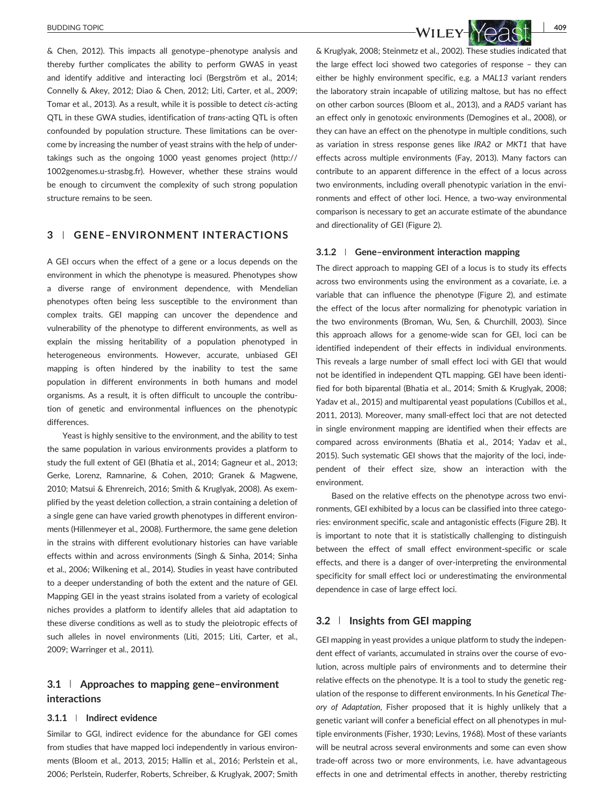& Chen, 2012). This impacts all genotype–phenotype analysis and thereby further complicates the ability to perform GWAS in yeast and identify additive and interacting loci (Bergström et al., 2014; Connelly & Akey, 2012; Diao & Chen, 2012; Liti, Carter, et al., 2009; Tomar et al., 2013). As a result, while it is possible to detect *cis*‐acting QTL in these GWA studies, identification of *trans*‐acting QTL is often confounded by population structure. These limitations can be overcome by increasing the number of yeast strains with the help of undertakings such as the ongoing 1000 yeast genomes project [\(http://](http://1002genomes.u-strasbg.fr) [1002genomes.u](http://1002genomes.u-strasbg.fr)‐strasbg.fr). However, whether these strains would be enough to circumvent the complexity of such strong population structure remains to be seen.

# **3** | **GENE–ENVIRONMENT INTERACTIONS**

A GEI occurs when the effect of a gene or a locus depends on the environment in which the phenotype is measured. Phenotypes show a diverse range of environment dependence, with Mendelian phenotypes often being less susceptible to the environment than complex traits. GEI mapping can uncover the dependence and vulnerability of the phenotype to different environments, as well as explain the missing heritability of a population phenotyped in heterogeneous environments. However, accurate, unbiased GEI mapping is often hindered by the inability to test the same population in different environments in both humans and model organisms. As a result, it is often difficult to uncouple the contribution of genetic and environmental influences on the phenotypic differences.

Yeast is highly sensitive to the environment, and the ability to test the same population in various environments provides a platform to study the full extent of GEI (Bhatia et al., 2014; Gagneur et al., 2013; Gerke, Lorenz, Ramnarine, & Cohen, 2010; Granek & Magwene, 2010; Matsui & Ehrenreich, 2016; Smith & Kruglyak, 2008). As exemplified by the yeast deletion collection, a strain containing a deletion of a single gene can have varied growth phenotypes in different environments (Hillenmeyer et al., 2008). Furthermore, the same gene deletion in the strains with different evolutionary histories can have variable effects within and across environments (Singh & Sinha, 2014; Sinha et al., 2006; Wilkening et al., 2014). Studies in yeast have contributed to a deeper understanding of both the extent and the nature of GEI. Mapping GEI in the yeast strains isolated from a variety of ecological niches provides a platform to identify alleles that aid adaptation to these diverse conditions as well as to study the pleiotropic effects of such alleles in novel environments (Liti, 2015; Liti, Carter, et al., 2009; Warringer et al., 2011).

# **3.1** | **Approaches to mapping gene–environment interactions**

### **3.1.1** | **Indirect evidence**

Similar to GGI, indirect evidence for the abundance for GEI comes from studies that have mapped loci independently in various environments (Bloom et al., 2013, 2015; Hallin et al., 2016; Perlstein et al., 2006; Perlstein, Ruderfer, Roberts, Schreiber, & Kruglyak, 2007; Smith

BUDDING TOPIC **409** 

& Kruglyak, 2008; Steinmetz et al., 2002). These studies indicated that the large effect loci showed two categories of response – they can either be highly environment specific, e.g. a *MAL13* variant renders the laboratory strain incapable of utilizing maltose, but has no effect on other carbon sources (Bloom et al., 2013), and a *RAD5* variant has an effect only in genotoxic environments (Demogines et al., 2008), or they can have an effect on the phenotype in multiple conditions, such as variation in stress response genes like *IRA2* or *MKT1* that have effects across multiple environments (Fay, 2013). Many factors can contribute to an apparent difference in the effect of a locus across two environments, including overall phenotypic variation in the environments and effect of other loci. Hence, a two‐way environmental comparison is necessary to get an accurate estimate of the abundance and directionality of GEI (Figure 2).

### **3.1.2** | **Gene–environment interaction mapping**

The direct approach to mapping GEI of a locus is to study its effects across two environments using the environment as a covariate, i.e. a variable that can influence the phenotype (Figure 2), and estimate the effect of the locus after normalizing for phenotypic variation in the two environments (Broman, Wu, Sen, & Churchill, 2003). Since this approach allows for a genome‐wide scan for GEI, loci can be identified independent of their effects in individual environments. This reveals a large number of small effect loci with GEI that would not be identified in independent QTL mapping. GEI have been identified for both biparental (Bhatia et al., 2014; Smith & Kruglyak, 2008; Yadav et al., 2015) and multiparental yeast populations (Cubillos et al., 2011, 2013). Moreover, many small‐effect loci that are not detected in single environment mapping are identified when their effects are compared across environments (Bhatia et al., 2014; Yadav et al., 2015). Such systematic GEI shows that the majority of the loci, independent of their effect size, show an interaction with the environment.

Based on the relative effects on the phenotype across two environments, GEI exhibited by a locus can be classified into three categories: environment specific, scale and antagonistic effects (Figure 2B). It is important to note that it is statistically challenging to distinguish between the effect of small effect environment‐specific or scale effects, and there is a danger of over‐interpreting the environmental specificity for small effect loci or underestimating the environmental dependence in case of large effect loci.

### **3.2** | **Insights from GEI mapping**

GEI mapping in yeast provides a unique platform to study the independent effect of variants, accumulated in strains over the course of evolution, across multiple pairs of environments and to determine their relative effects on the phenotype. It is a tool to study the genetic regulation of the response to different environments. In his *Genetical Theory of Adaptation*, Fisher proposed that it is highly unlikely that a genetic variant will confer a beneficial effect on all phenotypes in multiple environments (Fisher, 1930; Levins, 1968). Most of these variants will be neutral across several environments and some can even show trade‐off across two or more environments, i.e. have advantageous effects in one and detrimental effects in another, thereby restricting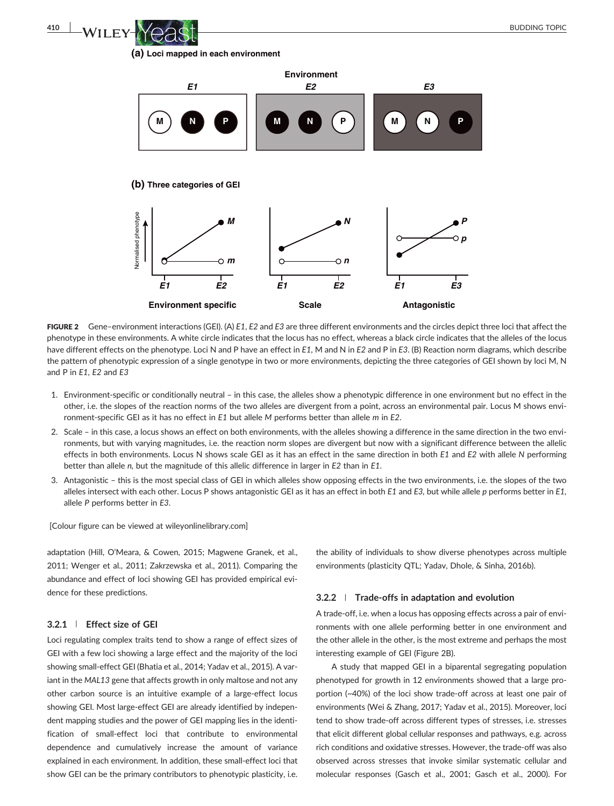**(a) Loci mapped in each environment**



FIGURE 2 Gene–environment interactions (GEI). (A) *E1*, *E2* and *E3* are three different environments and the circles depict three loci that affect the phenotype in these environments. A white circle indicates that the locus has no effect, whereas a black circle indicates that the alleles of the locus have different effects on the phenotype. Loci N and P have an effect in *E1*, M and N in *E2* and P in *E3*. (B) Reaction norm diagrams, which describe the pattern of phenotypic expression of a single genotype in two or more environments, depicting the three categories of GEI shown by loci M, N and P in *E1*, *E2* and *E3*

- 1. Environment‐specific or conditionally neutral in this case, the alleles show a phenotypic difference in one environment but no effect in the other, i.e. the slopes of the reaction norms of the two alleles are divergent from a point, across an environmental pair. Locus M shows environment‐specific GEI as it has no effect in *E1* but allele *M* performs better than allele *m* in *E2*.
- 2. Scale in this case, a locus shows an effect on both environments, with the alleles showing a difference in the same direction in the two environments, but with varying magnitudes, i.e. the reaction norm slopes are divergent but now with a significant difference between the allelic effects in both environments. Locus N shows scale GEI as it has an effect in the same direction in both *E1* and *E2* with allele *N* performing better than allele *n,* but the magnitude of this allelic difference in larger in *E2* than in *E1*.
- 3. Antagonistic this is the most special class of GEI in which alleles show opposing effects in the two environments, i.e. the slopes of the two alleles intersect with each other. Locus P shows antagonistic GEI as it has an effect in both *E1* and *E3,* but while allele *p* performs better in *E1,* allele *P* performs better in *E3*.

[Colour figure can be viewed at [wileyonlinelibrary.com](http://wileyonlinelibrary.com)]

adaptation (Hill, O'Meara, & Cowen, 2015; Magwene Granek, et al., 2011; Wenger et al., 2011; Zakrzewska et al., 2011). Comparing the abundance and effect of loci showing GEI has provided empirical evidence for these predictions.

# **3.2.1** | **Effect size of GEI**

Loci regulating complex traits tend to show a range of effect sizes of GEI with a few loci showing a large effect and the majority of the loci showing small‐effect GEI (Bhatia et al., 2014; Yadav et al., 2015). A variant in the *MAL13* gene that affects growth in only maltose and not any other carbon source is an intuitive example of a large‐effect locus showing GEI. Most large‐effect GEI are already identified by independent mapping studies and the power of GEI mapping lies in the identification of small‐effect loci that contribute to environmental dependence and cumulatively increase the amount of variance explained in each environment. In addition, these small‐effect loci that show GEI can be the primary contributors to phenotypic plasticity, i.e.

the ability of individuals to show diverse phenotypes across multiple environments (plasticity QTL; Yadav, Dhole, & Sinha, 2016b).

### **3.2.2** | **Trade‐offs in adaptation and evolution**

A trade‐off, i.e. when a locus has opposing effects across a pair of environments with one allele performing better in one environment and the other allele in the other, is the most extreme and perhaps the most interesting example of GEI (Figure 2B).

A study that mapped GEI in a biparental segregating population phenotyped for growth in 12 environments showed that a large proportion (~40%) of the loci show trade‐off across at least one pair of environments (Wei & Zhang, 2017; Yadav et al., 2015). Moreover, loci tend to show trade‐off across different types of stresses, i.e. stresses that elicit different global cellular responses and pathways, e.g. across rich conditions and oxidative stresses. However, the trade‐off was also observed across stresses that invoke similar systematic cellular and molecular responses (Gasch et al., 2001; Gasch et al., 2000). For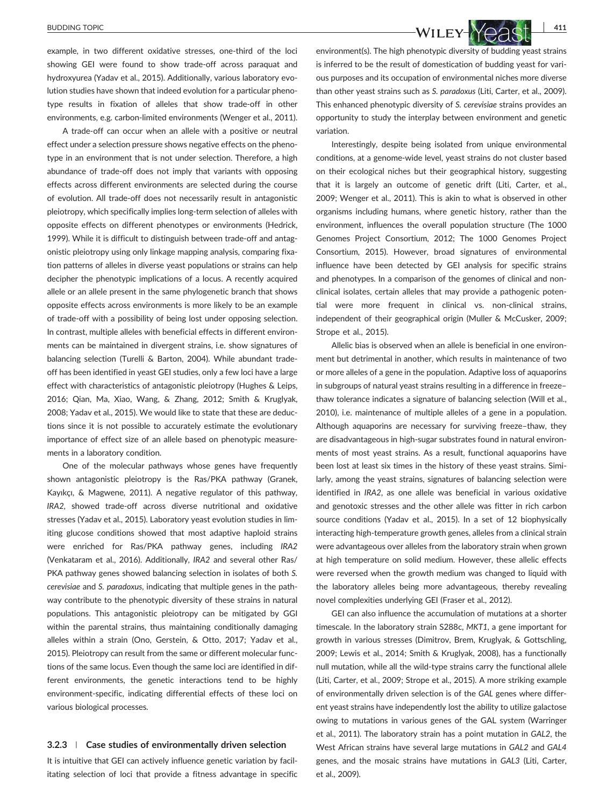example, in two different oxidative stresses, one-third of the loci showing GEI were found to show trade‐off across paraquat and hydroxyurea (Yadav et al., 2015). Additionally, various laboratory evolution studies have shown that indeed evolution for a particular phenotype results in fixation of alleles that show trade‐off in other environments, e.g. carbon-limited environments (Wenger et al., 2011).

A trade‐off can occur when an allele with a positive or neutral effect under a selection pressure shows negative effects on the phenotype in an environment that is not under selection. Therefore, a high abundance of trade‐off does not imply that variants with opposing effects across different environments are selected during the course of evolution. All trade‐off does not necessarily result in antagonistic pleiotropy, which specifically implies long-term selection of alleles with opposite effects on different phenotypes or environments (Hedrick, 1999). While it is difficult to distinguish between trade‐off and antagonistic pleiotropy using only linkage mapping analysis, comparing fixation patterns of alleles in diverse yeast populations or strains can help decipher the phenotypic implications of a locus. A recently acquired allele or an allele present in the same phylogenetic branch that shows opposite effects across environments is more likely to be an example of trade‐off with a possibility of being lost under opposing selection. In contrast, multiple alleles with beneficial effects in different environments can be maintained in divergent strains, i.e. show signatures of balancing selection (Turelli & Barton, 2004). While abundant trade‐ off has been identified in yeast GEI studies, only a few loci have a large effect with characteristics of antagonistic pleiotropy (Hughes & Leips, 2016; Qian, Ma, Xiao, Wang, & Zhang, 2012; Smith & Kruglyak, 2008; Yadav et al., 2015). We would like to state that these are deductions since it is not possible to accurately estimate the evolutionary importance of effect size of an allele based on phenotypic measurements in a laboratory condition.

One of the molecular pathways whose genes have frequently shown antagonistic pleiotropy is the Ras/PKA pathway (Granek, Kayıkçı, & Magwene, 2011). A negative regulator of this pathway, *IRA2*, showed trade‐off across diverse nutritional and oxidative stresses (Yadav et al., 2015). Laboratory yeast evolution studies in limiting glucose conditions showed that most adaptive haploid strains were enriched for Ras/PKA pathway genes, including *IRA2* (Venkataram et al., 2016). Additionally, *IRA2* and several other Ras/ PKA pathway genes showed balancing selection in isolates of both *S. cerevisiae* and *S. paradoxus*, indicating that multiple genes in the pathway contribute to the phenotypic diversity of these strains in natural populations. This antagonistic pleiotropy can be mitigated by GGI within the parental strains, thus maintaining conditionally damaging alleles within a strain (Ono, Gerstein, & Otto, 2017; Yadav et al., 2015). Pleiotropy can result from the same or different molecular functions of the same locus. Even though the same loci are identified in different environments, the genetic interactions tend to be highly environment‐specific, indicating differential effects of these loci on various biological processes.

### **3.2.3** | **Case studies of environmentally driven selection**

It is intuitive that GEI can actively influence genetic variation by facilitating selection of loci that provide a fitness advantage in specific



environment(s). The high phenotypic diversity of budding yeast strains is inferred to be the result of domestication of budding yeast for various purposes and its occupation of environmental niches more diverse than other yeast strains such as *S. paradoxus* (Liti, Carter, et al., 2009). This enhanced phenotypic diversity of *S. cerevisiae* strains provides an opportunity to study the interplay between environment and genetic variation.

Interestingly, despite being isolated from unique environmental conditions, at a genome‐wide level, yeast strains do not cluster based on their ecological niches but their geographical history, suggesting that it is largely an outcome of genetic drift (Liti, Carter, et al., 2009; Wenger et al., 2011). This is akin to what is observed in other organisms including humans, where genetic history, rather than the environment, influences the overall population structure (The 1000 Genomes Project Consortium, 2012; The 1000 Genomes Project Consortium, 2015). However, broad signatures of environmental influence have been detected by GEI analysis for specific strains and phenotypes. In a comparison of the genomes of clinical and nonclinical isolates, certain alleles that may provide a pathogenic potential were more frequent in clinical vs. non-clinical strains, independent of their geographical origin (Muller & McCusker, 2009; Strope et al., 2015).

Allelic bias is observed when an allele is beneficial in one environment but detrimental in another, which results in maintenance of two or more alleles of a gene in the population. Adaptive loss of aquaporins in subgroups of natural yeast strains resulting in a difference in freeze– thaw tolerance indicates a signature of balancing selection (Will et al., 2010), i.e. maintenance of multiple alleles of a gene in a population. Although aquaporins are necessary for surviving freeze–thaw, they are disadvantageous in high‐sugar substrates found in natural environments of most yeast strains. As a result, functional aquaporins have been lost at least six times in the history of these yeast strains. Similarly, among the yeast strains, signatures of balancing selection were identified in *IRA2*, as one allele was beneficial in various oxidative and genotoxic stresses and the other allele was fitter in rich carbon source conditions (Yadav et al., 2015). In a set of 12 biophysically interacting high-temperature growth genes, alleles from a clinical strain were advantageous over alleles from the laboratory strain when grown at high temperature on solid medium. However, these allelic effects were reversed when the growth medium was changed to liquid with the laboratory alleles being more advantageous, thereby revealing novel complexities underlying GEI (Fraser et al., 2012).

GEI can also influence the accumulation of mutations at a shorter timescale. In the laboratory strain S288c, *MKT1*, a gene important for growth in various stresses (Dimitrov, Brem, Kruglyak, & Gottschling, 2009; Lewis et al., 2014; Smith & Kruglyak, 2008), has a functionally null mutation, while all the wild‐type strains carry the functional allele (Liti, Carter, et al., 2009; Strope et al., 2015). A more striking example of environmentally driven selection is of the *GAL* genes where different yeast strains have independently lost the ability to utilize galactose owing to mutations in various genes of the GAL system (Warringer et al., 2011). The laboratory strain has a point mutation in *GAL2*, the West African strains have several large mutations in *GAL2* and *GAL4* genes, and the mosaic strains have mutations in *GAL3* (Liti, Carter, et al., 2009).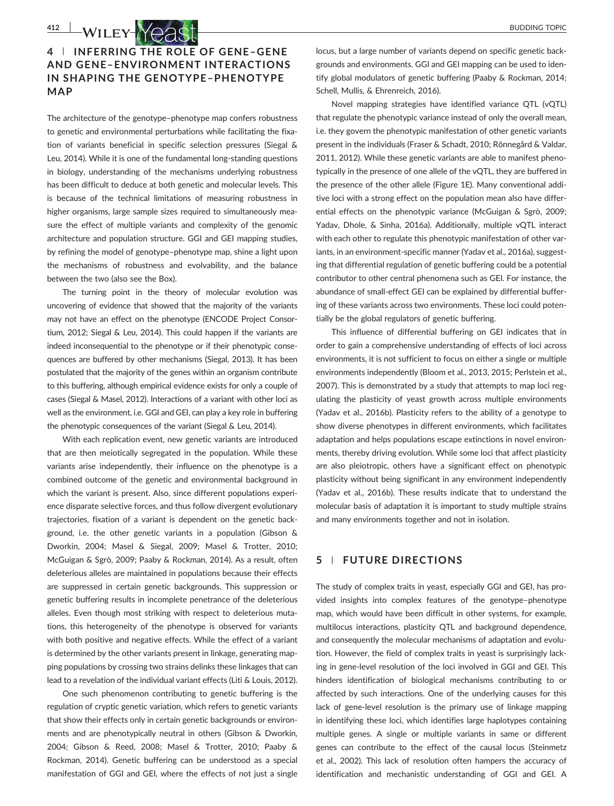# **4** | **INFERRING THE ROLE OF GENE–GENE AND GENE–ENVIRONMENT INTERACTIONS IN SHAPING THE GENOTYPE–PHENOTYPE MAP**

The architecture of the genotype–phenotype map confers robustness to genetic and environmental perturbations while facilitating the fixation of variants beneficial in specific selection pressures (Siegal & Leu, 2014). While it is one of the fundamental long‐standing questions in biology, understanding of the mechanisms underlying robustness has been difficult to deduce at both genetic and molecular levels. This is because of the technical limitations of measuring robustness in higher organisms, large sample sizes required to simultaneously measure the effect of multiple variants and complexity of the genomic architecture and population structure. GGI and GEI mapping studies, by refining the model of genotype–phenotype map, shine a light upon the mechanisms of robustness and evolvability, and the balance between the two (also see the Box).

The turning point in the theory of molecular evolution was uncovering of evidence that showed that the majority of the variants may not have an effect on the phenotype (ENCODE Project Consortium, 2012; Siegal & Leu, 2014). This could happen if the variants are indeed inconsequential to the phenotype or if their phenotypic consequences are buffered by other mechanisms (Siegal, 2013). It has been postulated that the majority of the genes within an organism contribute to this buffering, although empirical evidence exists for only a couple of cases (Siegal & Masel, 2012). Interactions of a variant with other loci as well as the environment, i.e. GGI and GEI, can play a key role in buffering the phenotypic consequences of the variant (Siegal & Leu, 2014).

With each replication event, new genetic variants are introduced that are then meiotically segregated in the population. While these variants arise independently, their influence on the phenotype is a combined outcome of the genetic and environmental background in which the variant is present. Also, since different populations experience disparate selective forces, and thus follow divergent evolutionary trajectories, fixation of a variant is dependent on the genetic background, i.e. the other genetic variants in a population (Gibson & Dworkin, 2004; Masel & Siegal, 2009; Masel & Trotter, 2010; McGuigan & Sgrò, 2009; Paaby & Rockman, 2014). As a result, often deleterious alleles are maintained in populations because their effects are suppressed in certain genetic backgrounds. This suppression or genetic buffering results in incomplete penetrance of the deleterious alleles. Even though most striking with respect to deleterious mutations, this heterogeneity of the phenotype is observed for variants with both positive and negative effects. While the effect of a variant is determined by the other variants present in linkage, generating mapping populations by crossing two strains delinks these linkages that can lead to a revelation of the individual variant effects (Liti & Louis, 2012).

One such phenomenon contributing to genetic buffering is the regulation of cryptic genetic variation, which refers to genetic variants that show their effects only in certain genetic backgrounds or environments and are phenotypically neutral in others (Gibson & Dworkin, 2004; Gibson & Reed, 2008; Masel & Trotter, 2010; Paaby & Rockman, 2014). Genetic buffering can be understood as a special manifestation of GGI and GEI, where the effects of not just a single locus, but a large number of variants depend on specific genetic backgrounds and environments. GGI and GEI mapping can be used to identify global modulators of genetic buffering (Paaby & Rockman, 2014; Schell, Mullis, & Ehrenreich, 2016).

Novel mapping strategies have identified variance QTL (vQTL) that regulate the phenotypic variance instead of only the overall mean, i.e. they govern the phenotypic manifestation of other genetic variants present in the individuals (Fraser & Schadt, 2010; Rönnegård & Valdar, 2011, 2012). While these genetic variants are able to manifest phenotypically in the presence of one allele of the vQTL, they are buffered in the presence of the other allele (Figure 1E). Many conventional additive loci with a strong effect on the population mean also have differential effects on the phenotypic variance (McGuigan & Sgrò, 2009; Yadav, Dhole, & Sinha, 2016a). Additionally, multiple vQTL interact with each other to regulate this phenotypic manifestation of other variants, in an environment-specific manner (Yadav et al., 2016a), suggesting that differential regulation of genetic buffering could be a potential contributor to other central phenomena such as GEI. For instance, the abundance of small‐effect GEI can be explained by differential buffering of these variants across two environments. These loci could potentially be the global regulators of genetic buffering.

This influence of differential buffering on GEI indicates that in order to gain a comprehensive understanding of effects of loci across environments, it is not sufficient to focus on either a single or multiple environments independently (Bloom et al., 2013, 2015; Perlstein et al., 2007). This is demonstrated by a study that attempts to map loci regulating the plasticity of yeast growth across multiple environments (Yadav et al., 2016b). Plasticity refers to the ability of a genotype to show diverse phenotypes in different environments, which facilitates adaptation and helps populations escape extinctions in novel environments, thereby driving evolution. While some loci that affect plasticity are also pleiotropic, others have a significant effect on phenotypic plasticity without being significant in any environment independently (Yadav et al., 2016b). These results indicate that to understand the molecular basis of adaptation it is important to study multiple strains and many environments together and not in isolation.

### **5** | **FUTURE DIRECTIONS**

The study of complex traits in yeast, especially GGI and GEI, has provided insights into complex features of the genotype–phenotype map, which would have been difficult in other systems, for example, multilocus interactions, plasticity QTL and background dependence, and consequently the molecular mechanisms of adaptation and evolution. However, the field of complex traits in yeast is surprisingly lacking in gene‐level resolution of the loci involved in GGI and GEI. This hinders identification of biological mechanisms contributing to or affected by such interactions. One of the underlying causes for this lack of gene‐level resolution is the primary use of linkage mapping in identifying these loci, which identifies large haplotypes containing multiple genes. A single or multiple variants in same or different genes can contribute to the effect of the causal locus (Steinmetz et al., 2002). This lack of resolution often hampers the accuracy of identification and mechanistic understanding of GGI and GEI. A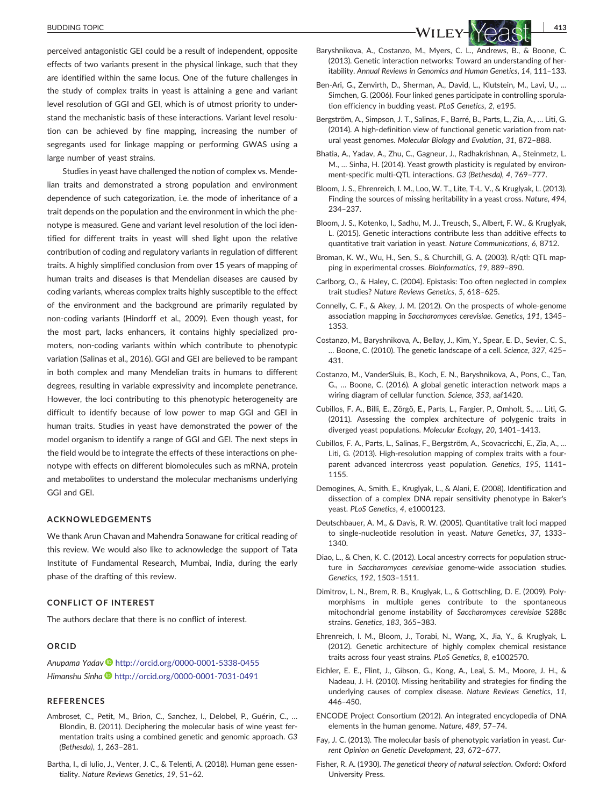#### BUDDING TOPIC **413**

perceived antagonistic GEI could be a result of independent, opposite effects of two variants present in the physical linkage, such that they are identified within the same locus. One of the future challenges in the study of complex traits in yeast is attaining a gene and variant level resolution of GGI and GEI, which is of utmost priority to understand the mechanistic basis of these interactions. Variant level resolution can be achieved by fine mapping, increasing the number of segregants used for linkage mapping or performing GWAS using a large number of yeast strains.

Studies in yeast have challenged the notion of complex vs. Mendelian traits and demonstrated a strong population and environment dependence of such categorization, i.e. the mode of inheritance of a trait depends on the population and the environment in which the phenotype is measured. Gene and variant level resolution of the loci identified for different traits in yeast will shed light upon the relative contribution of coding and regulatory variants in regulation of different traits. A highly simplified conclusion from over 15 years of mapping of human traits and diseases is that Mendelian diseases are caused by coding variants, whereas complex traits highly susceptible to the effect of the environment and the background are primarily regulated by non‐coding variants (Hindorff et al., 2009). Even though yeast, for the most part, lacks enhancers, it contains highly specialized promoters, non‐coding variants within which contribute to phenotypic variation (Salinas et al., 2016). GGI and GEI are believed to be rampant in both complex and many Mendelian traits in humans to different degrees, resulting in variable expressivity and incomplete penetrance. However, the loci contributing to this phenotypic heterogeneity are difficult to identify because of low power to map GGI and GEI in human traits. Studies in yeast have demonstrated the power of the model organism to identify a range of GGI and GEI. The next steps in the field would be to integrate the effects of these interactions on phenotype with effects on different biomolecules such as mRNA, protein and metabolites to understand the molecular mechanisms underlying GGI and GEI.

### **ACKNOWLEDGEMENTS**

We thank Arun Chavan and Mahendra Sonawane for critical reading of this review. We would also like to acknowledge the support of Tata Institute of Fundamental Research, Mumbai, India, during the early phase of the drafting of this review.

### **CONFLICT OF INTEREST**

The authors declare that there is no conflict of interest.

### **ORCID**

*Anupama Yadav* <http://orcid.org/0000-0001-5338-0455> *Himanshu Sinha* <http://orcid.org/0000-0001-7031-0491>

### **REFERENCES**

- Ambroset, C., Petit, M., Brion, C., Sanchez, I., Delobel, P., Guérin, C., … Blondin, B. (2011). Deciphering the molecular basis of wine yeast fermentation traits using a combined genetic and genomic approach. *G3 (Bethesda)*, *1*, 263–281.
- Bartha, I., di Iulio, J., Venter, J. C., & Telenti, A. (2018). Human gene essentiality. *Nature Reviews Genetics*, *19*, 51–62.



- itability. *Annual Reviews in Genomics and Human Genetics*, *14*, 111–133.
- Ben‐Ari, G., Zenvirth, D., Sherman, A., David, L., Klutstein, M., Lavi, U., … Simchen, G. (2006). Four linked genes participate in controlling sporulation efficiency in budding yeast. *PLoS Genetics*, *2*, e195.
- Bergström, A., Simpson, J. T., Salinas, F., Barré, B., Parts, L., Zia, A., … Liti, G. (2014). A high-definition view of functional genetic variation from natural yeast genomes. *Molecular Biology and Evolution*, *31*, 872–888.
- Bhatia, A., Yadav, A., Zhu, C., Gagneur, J., Radhakrishnan, A., Steinmetz, L. M., … Sinha, H. (2014). Yeast growth plasticity is regulated by environment‐specific multi‐QTL interactions. *G3 (Bethesda)*, *4*, 769–777.
- Bloom, J. S., Ehrenreich, I. M., Loo, W. T., Lite, T‐L. V., & Kruglyak, L. (2013). Finding the sources of missing heritability in a yeast cross. *Nature*, *494*, 234–237.
- Bloom, J. S., Kotenko, I., Sadhu, M. J., Treusch, S., Albert, F. W., & Kruglyak, L. (2015). Genetic interactions contribute less than additive effects to quantitative trait variation in yeast. *Nature Communications*, *6*, 8712.
- Broman, K. W., Wu, H., Sen, S., & Churchill, G. A. (2003). R/qtl: QTL mapping in experimental crosses. *Bioinformatics*, *19*, 889–890.
- Carlborg, O., & Haley, C. (2004). Epistasis: Too often neglected in complex trait studies? *Nature Reviews Genetics*, *5*, 618–625.
- Connelly, C. F., & Akey, J. M. (2012). On the prospects of whole‐genome association mapping in *Saccharomyces cerevisiae*. *Genetics*, *191*, 1345– 1353.
- Costanzo, M., Baryshnikova, A., Bellay, J., Kim, Y., Spear, E. D., Sevier, C. S., … Boone, C. (2010). The genetic landscape of a cell. *Science*, *327*, 425– 431.
- Costanzo, M., VanderSluis, B., Koch, E. N., Baryshnikova, A., Pons, C., Tan, G., … Boone, C. (2016). A global genetic interaction network maps a wiring diagram of cellular function. *Science*, *353*, aaf1420.
- Cubillos, F. A., Billi, E., Zörgö, E., Parts, L., Fargier, P., Omholt, S., … Liti, G. (2011). Assessing the complex architecture of polygenic traits in diverged yeast populations. *Molecular Ecology*, *20*, 1401–1413.
- Cubillos, F. A., Parts, L., Salinas, F., Bergström, A., Scovacricchi, E., Zia, A., … Liti, G. (2013). High-resolution mapping of complex traits with a fourparent advanced intercross yeast population. *Genetics*, *195*, 1141– 1155.
- Demogines, A., Smith, E., Kruglyak, L., & Alani, E. (2008). Identification and dissection of a complex DNA repair sensitivity phenotype in Baker's yeast. *PLoS Genetics*, *4*, e1000123.
- Deutschbauer, A. M., & Davis, R. W. (2005). Quantitative trait loci mapped to single‐nucleotide resolution in yeast. *Nature Genetics*, *37*, 1333– 1340.
- Diao, L., & Chen, K. C. (2012). Local ancestry corrects for population structure in *Saccharomyces cerevisiae* genome‐wide association studies. *Genetics*, *192*, 1503–1511.
- Dimitrov, L. N., Brem, R. B., Kruglyak, L., & Gottschling, D. E. (2009). Polymorphisms in multiple genes contribute to the spontaneous mitochondrial genome instability of *Saccharomyces cerevisiae* S288c strains. *Genetics*, *183*, 365–383.
- Ehrenreich, I. M., Bloom, J., Torabi, N., Wang, X., Jia, Y., & Kruglyak, L. (2012). Genetic architecture of highly complex chemical resistance traits across four yeast strains. *PLoS Genetics*, *8*, e1002570.
- Eichler, E. E., Flint, J., Gibson, G., Kong, A., Leal, S. M., Moore, J. H., & Nadeau, J. H. (2010). Missing heritability and strategies for finding the underlying causes of complex disease. *Nature Reviews Genetics*, *11*, 446–450.
- ENCODE Project Consortium (2012). An integrated encyclopedia of DNA elements in the human genome. *Nature*, *489*, 57–74.
- Fay, J. C. (2013). The molecular basis of phenotypic variation in yeast. *Current Opinion on Genetic Development*, *23*, 672–677.
- Fisher, R. A. (1930). *The genetical theory of natural selection*. Oxford: Oxford University Press.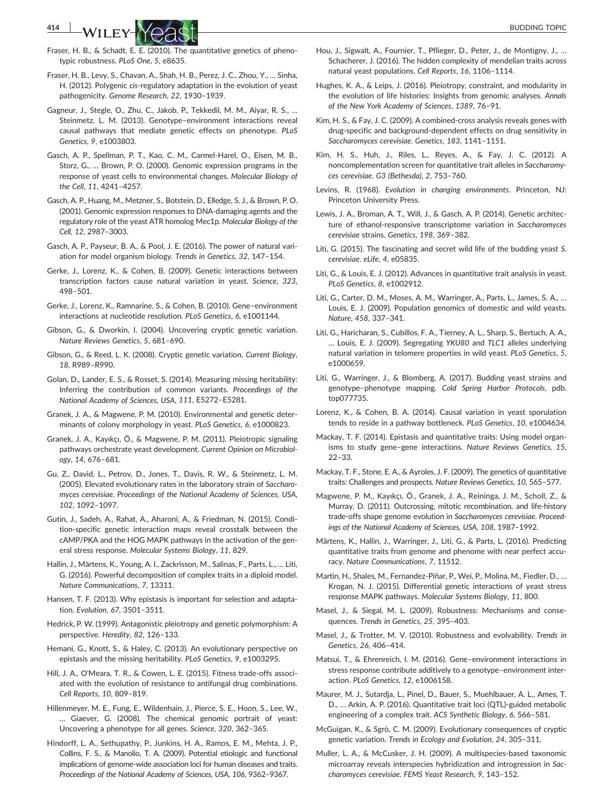

- Fraser, H. B., & Schadt, E. E. (2010). The quantitative genetics of phenotypic robustness. *PLoS One*, *5*, e8635.
- Fraser, H. B., Levy, S., Chavan, A., Shah, H. B., Perez, J. C., Zhou, Y., … Sinha, H. (2012). Polygenic *cis*‐regulatory adaptation in the evolution of yeast pathogenicity. *Genome Research*, *22*, 1930–1939.
- Gagneur, J., Stegle, O., Zhu, C., Jakob, P., Tekkedil, M. M., Aiyar, R. S., … Steinmetz, L. M. (2013). Genotype–environment interactions reveal causal pathways that mediate genetic effects on phenotype. *PLoS Genetics*, *9*, e1003803.
- Gasch, A. P., Spellman, P. T., Kao, C. M., Carmel‐Harel, O., Eisen, M. B., Storz, G., … Brown, P. O. (2000). Genomic expression programs in the response of yeast cells to environmental changes. *Molecular Biology of the Cell*, *11*, 4241–4257.
- Gasch, A. P., Huang, M., Metzner, S., Botstein, D., Elledge, S. J., & Brown, P. O. (2001). Genomic expression responses to DNA‐damaging agents and the regulatory role of the yeast ATR homolog Mec1p. *Molecular Biology of the Cell*, *12*, 2987–3003.
- Gasch, A. P., Payseur, B. A., & Pool, J. E. (2016). The power of natural variation for model organism biology. *Trends in Genetics*, *32*, 147–154.
- Gerke, J., Lorenz, K., & Cohen, B. (2009). Genetic interactions between transcription factors cause natural variation in yeast. *Science*, *323*, 498–501.
- Gerke, J., Lorenz, K., Ramnarine, S., & Cohen, B. (2010). Gene–environment interactions at nucleotide resolution. *PLoS Genetics*, *6*, e1001144.
- Gibson, G., & Dworkin, I. (2004). Uncovering cryptic genetic variation. *Nature Reviews Genetics*, *5*, 681–690.
- Gibson, G., & Reed, L. K. (2008). Cryptic genetic variation. *Current Biology*, *18*, R989–R990.
- Golan, D., Lander, E. S., & Rosset, S. (2014). Measuring missing heritability: Inferring the contribution of common variants. *Proceedings of the National Academy of Sciences, USA*, *111*, E5272–E5281.
- Granek, J. A., & Magwene, P. M. (2010). Environmental and genetic determinants of colony morphology in yeast. *PLoS Genetics*, *6*, e1000823.
- Granek, J. A., Kayıkçı, Ö., & Magwene, P. M. (2011). Pleiotropic signaling pathways orchestrate yeast development. *Current Opinion on Microbiology*, *14*, 676–681.
- Gu, Z., David, L., Petrov, D., Jones, T., Davis, R. W., & Steinmetz, L. M. (2005). Elevated evolutionary rates in the laboratory strain of *Saccharomyces cerevisiae*. *Proceedings of the National Academy of Sciences, USA*, *102*, 1092–1097.
- Gutin, J., Sadeh, A., Rahat, A., Aharoni, A., & Friedman, N. (2015). Condition‐specific genetic interaction maps reveal crosstalk between the cAMP/PKA and the HOG MAPK pathways in the activation of the general stress response. *Molecular Systems Biology*, *11*, 829.
- Hallin, J., Märtens, K., Young, A. I., Zackrisson, M., Salinas, F., Parts, L., … Liti, G. (2016). Powerful decomposition of complex traits in a diploid model. *Nature Communications*, *7*, 13311.
- Hansen, T. F. (2013). Why epistasis is important for selection and adaptation. *Evolution*, *67*, 3501–3511.
- Hedrick, P. W. (1999). Antagonistic pleiotropy and genetic polymorphism: A perspective. *Heredity*, *82*, 126–133.
- Hemani, G., Knott, S., & Haley, C. (2013). An evolutionary perspective on epistasis and the missing heritability. *PLoS Genetics*, *9*, e1003295.
- Hill, J. A., O'Meara, T. R., & Cowen, L. E. (2015). Fitness trade‐offs associated with the evolution of resistance to antifungal drug combinations. *Cell Reports*, *10*, 809–819.
- Hillenmeyer, M. E., Fung, E., Wildenhain, J., Pierce, S. E., Hoon, S., Lee, W., … Giaever, G. (2008). The chemical genomic portrait of yeast: Uncovering a phenotype for all genes. *Science*, *320*, 362–365.
- Hindorff, L. A., Sethupathy, P., Junkins, H. A., Ramos, E. M., Mehta, J. P., Collins, F. S., & Manolio, T. A. (2009). Potential etiologic and functional implications of genome‐wide association loci for human diseases and traits. *Proceedings of the National Academy of Sciences, USA*, *106*, 9362–9367.
- Hou, J., Sigwalt, A., Fournier, T., Pflieger, D., Peter, J., de Montigny, J., … Schacherer, J. (2016). The hidden complexity of mendelian traits across natural yeast populations. *Cell Reports*, *16*, 1106–1114.
- Hughes, K. A., & Leips, J. (2016). Pleiotropy, constraint, and modularity in the evolution of life histories: Insights from genomic analyses. *Annals of the New York Academy of Sciences*, *1389*, 76–91.
- Kim, H. S., & Fay, J. C. (2009). A combined‐cross analysis reveals genes with drug‐specific and background‐dependent effects on drug sensitivity in *Saccharomyces cerevisiae*. *Genetics*, *183*, 1141–1151.
- Kim, H. S., Huh, J., Riles, L., Reyes, A., & Fay, J. C. (2012). A noncomplementation screen for quantitative trait alleles in *Saccharomyces cerevisiae*. *G3 (Bethesda)*, *2*, 753–760.
- Levins, R. (1968). *Evolution in changing environments*. Princeton, NJ: Princeton University Press.
- Lewis, J. A., Broman, A. T., Will, J., & Gasch, A. P. (2014). Genetic architecture of ethanol‐responsive transcriptome variation in *Saccharomyces cerevisiae* strains. *Genetics*, *198*, 369–382.
- Liti, G. (2015). The fascinating and secret wild life of the budding yeast *S. cerevisiae*. *eLife*, *4*, e05835.
- Liti, G., & Louis, E. J. (2012). Advances in quantitative trait analysis in yeast. *PLoS Genetics*, *8*, e1002912.
- Liti, G., Carter, D. M., Moses, A. M., Warringer, A., Parts, L., James, S. A., … Louis, E. J. (2009). Population genomics of domestic and wild yeasts. *Nature*, *458*, 337–341.
- Liti, G., Haricharan, S., Cubillos, F. A., Tierney, A. L., Sharp, S., Bertuch, A. A., … Louis, E. J. (2009). Segregating *YKU80* and *TLC1* alleles underlying natural variation in telomere properties in wild yeast. *PLoS Genetics*, *5*, e1000659.
- Liti, G., Warringer, J., & Blomberg, A. (2017). Budding yeast strains and genotype–phenotype mapping. *Cold Spring Harbor Protocols*, pdb. top077735.
- Lorenz, K., & Cohen, B. A. (2014). Causal variation in yeast sporulation tends to reside in a pathway bottleneck. *PLoS Genetics*, *10*, e1004634.
- Mackay, T. F. (2014). Epistasis and quantitative traits: Using model organisms to study gene–gene interactions. *Nature Reviews Genetics*, *15*, 22–33.
- Mackay, T. F., Stone, E. A., & Ayroles, J. F. (2009). The genetics of quantitative traits: Challenges and prospects. *Nature Reviews Genetics*, *10*, 565–577.
- Magwene, P. M., Kayıkçı, Ö., Granek, J. A., Reininga, J. M., Scholl, Z., & Murray, D. (2011). Outcrossing, mitotic recombination, and life‐history trade‐offs shape genome evolution in *Saccharomyces cerevisiae*. *Proceedings of the National Academy of Sciences, USA*, *108*, 1987–1992.
- Märtens, K., Hallin, J., Warringer, J., Liti, G., & Parts, L. (2016). Predicting quantitative traits from genome and phenome with near perfect accuracy. *Nature Communications*, *7*, 11512.
- Martin, H., Shales, M., Fernandez‐Piñar, P., Wei, P., Molina, M., Fiedler, D., … Krogan, N. J. (2015). Differential genetic interactions of yeast stress response MAPK pathways. *Molecular Systems Biology*, *11*, 800.
- Masel, J., & Siegal, M. L. (2009). Robustness: Mechanisms and consequences. *Trends in Genetics*, *25*, 395–403.
- Masel, J., & Trotter, M. V. (2010). Robustness and evolvability. *Trends in Genetics*, *26*, 406–414.
- Matsui, T., & Ehrenreich, I. M. (2016). Gene–environment interactions in stress response contribute additively to a genotype–environment interaction. *PLoS Genetics*, *12*, e1006158.
- Maurer, M. J., Sutardja, L., Pinel, D., Bauer, S., Muehlbauer, A. L., Ames, T. D., … Arkin, A. P. (2016). Quantitative trait loci (QTL)‐guided metabolic engineering of a complex trait. *ACS Synthetic Biology*, *6*, 566–581.
- McGuigan, K., & Sgrò, C. M. (2009). Evolutionary consequences of cryptic genetic variation. *Trends in Ecology and Evolution*, *24*, 305–311.
- Muller, L. A., & McCusker, J. H. (2009). A multispecies‐based taxonomic microarray reveals interspecies hybridization and introgression in *Saccharomyces cerevisiae*. *FEMS Yeast Research*, *9*, 143–152.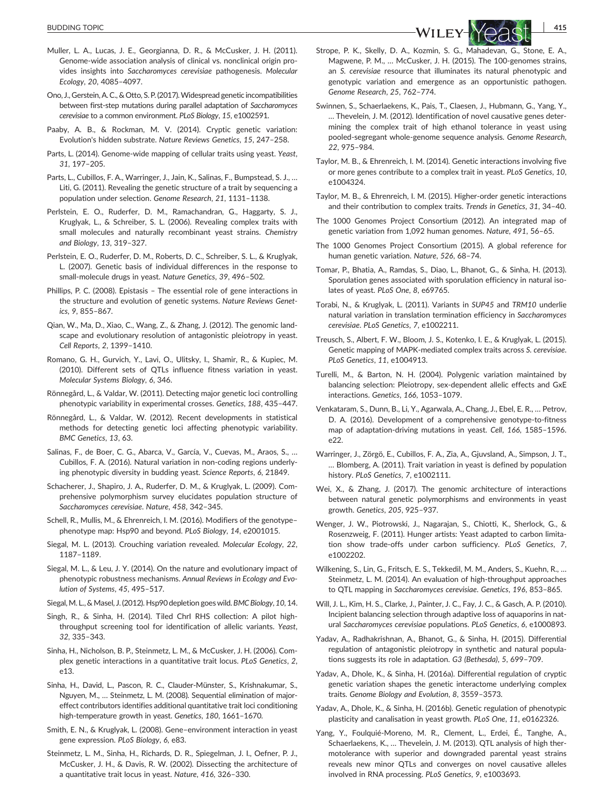- Muller, L. A., Lucas, J. E., Georgianna, D. R., & McCusker, J. H. (2011). Genome‐wide association analysis of clinical vs. nonclinical origin provides insights into *Saccharomyces cerevisiae* pathogenesis. *Molecular Ecology*, *20*, 4085–4097.
- Ono, J., Gerstein, A. C., & Otto, S. P. (2017).Widespread genetic incompatibilities between first‐step mutations during parallel adaptation of *Saccharomyces cerevisiae* to a common environment. *PLoS Biology*, *15*, e1002591.
- Paaby, A. B., & Rockman, M. V. (2014). Cryptic genetic variation: Evolution's hidden substrate. *Nature Reviews Genetics*, *15*, 247–258.
- Parts, L. (2014). Genome‐wide mapping of cellular traits using yeast. *Yeast*, *31*, 197–205.
- Parts, L., Cubillos, F. A., Warringer, J., Jain, K., Salinas, F., Bumpstead, S. J., … Liti, G. (2011). Revealing the genetic structure of a trait by sequencing a population under selection. *Genome Research*, *21*, 1131–1138.
- Perlstein, E. O., Ruderfer, D. M., Ramachandran, G., Haggarty, S. J., Kruglyak, L., & Schreiber, S. L. (2006). Revealing complex traits with small molecules and naturally recombinant yeast strains. *Chemistry and Biology*, *13*, 319–327.
- Perlstein, E. O., Ruderfer, D. M., Roberts, D. C., Schreiber, S. L., & Kruglyak, L. (2007). Genetic basis of individual differences in the response to small‐molecule drugs in yeast. *Nature Genetics*, *39*, 496–502.
- Phillips, P. C. (2008). Epistasis The essential role of gene interactions in the structure and evolution of genetic systems. *Nature Reviews Genetics*, *9*, 855–867.
- Qian, W., Ma, D., Xiao, C., Wang, Z., & Zhang, J. (2012). The genomic landscape and evolutionary resolution of antagonistic pleiotropy in yeast. *Cell Reports*, *2*, 1399–1410.
- Romano, G. H., Gurvich, Y., Lavi, O., Ulitsky, I., Shamir, R., & Kupiec, M. (2010). Different sets of QTLs influence fitness variation in yeast. *Molecular Systems Biology*, *6*, 346.
- Rönnegård, L., & Valdar, W. (2011). Detecting major genetic loci controlling phenotypic variability in experimental crosses. *Genetics*, *188*, 435–447.
- Rönnegård, L., & Valdar, W. (2012). Recent developments in statistical methods for detecting genetic loci affecting phenotypic variability. *BMC Genetics*, *13*, 63.
- Salinas, F., de Boer, C. G., Abarca, V., García, V., Cuevas, M., Araos, S., … Cubillos, F. A. (2016). Natural variation in non‐coding regions underlying phenotypic diversity in budding yeast. *Science Reports*, *6*, 21849.
- Schacherer, J., Shapiro, J. A., Ruderfer, D. M., & Kruglyak, L. (2009). Comprehensive polymorphism survey elucidates population structure of *Saccharomyces cerevisiae*. *Nature*, *458*, 342–345.
- Schell, R., Mullis, M., & Ehrenreich, I. M. (2016). Modifiers of the genotype– phenotype map: Hsp90 and beyond. *PLoS Biology*, *14*, e2001015.
- Siegal, M. L. (2013). Crouching variation revealed. *Molecular Ecology*, *22*, 1187–1189.
- Siegal, M. L., & Leu, J. Y. (2014). On the nature and evolutionary impact of phenotypic robustness mechanisms. *Annual Reviews in Ecology and Evolution of Systems*, *45*, 495–517.
- Siegal, M. L., &Masel, J. (2012). Hsp90 depletion goes wild. *BMC Biology*, *10*, 14.
- Singh, R., & Sinha, H. (2014). Tiled ChrI RHS collection: A pilot high‐ throughput screening tool for identification of allelic variants. *Yeast*, *32*, 335–343.
- Sinha, H., Nicholson, B. P., Steinmetz, L. M., & McCusker, J. H. (2006). Complex genetic interactions in a quantitative trait locus. *PLoS Genetics*, *2*, e13.
- Sinha, H., David, L., Pascon, R. C., Clauder‐Münster, S., Krishnakumar, S., Nguyen, M., … Steinmetz, L. M. (2008). Sequential elimination of major‐ effect contributors identifies additional quantitative trait loci conditioning high‐temperature growth in yeast. *Genetics*, *180*, 1661–1670.
- Smith, E. N., & Kruglyak, L. (2008). Gene–environment interaction in yeast gene expression. *PLoS Biology*, *6*, e83.
- Steinmetz, L. M., Sinha, H., Richards, D. R., Spiegelman, J. I., Oefner, P. J., McCusker, J. H., & Davis, R. W. (2002). Dissecting the architecture of a quantitative trait locus in yeast. *Nature*, *416*, 326–330.
- Strope, P. K., Skelly, D. A., Kozmin, S. G., Mahadevan, G., Stone, E. A., Magwene, P. M., … McCusker, J. H. (2015). The 100‐genomes strains, an *S. cerevisiae* resource that illuminates its natural phenotypic and genotypic variation and emergence as an opportunistic pathogen. *Genome Research*, *25*, 762–774.
- Swinnen, S., Schaerlaekens, K., Pais, T., Claesen, J., Hubmann, G., Yang, Y., … Thevelein, J. M. (2012). Identification of novel causative genes determining the complex trait of high ethanol tolerance in yeast using pooled‐segregant whole‐genome sequence analysis. *Genome Research*, *22*, 975–984.
- Taylor, M. B., & Ehrenreich, I. M. (2014). Genetic interactions involving five or more genes contribute to a complex trait in yeast. *PLoS Genetics*, *10*, e1004324.
- Taylor, M. B., & Ehrenreich, I. M. (2015). Higher‐order genetic interactions and their contribution to complex traits. *Trends in Genetics*, *31*, 34–40.
- The 1000 Genomes Project Consortium (2012). An integrated map of genetic variation from 1,092 human genomes. *Nature*, *491*, 56–65.
- The 1000 Genomes Project Consortium (2015). A global reference for human genetic variation. *Nature*, *526*, 68–74.
- Tomar, P., Bhatia, A., Ramdas, S., Diao, L., Bhanot, G., & Sinha, H. (2013). Sporulation genes associated with sporulation efficiency in natural isolates of yeast. *PLoS One*, *8*, e69765.
- Torabi, N., & Kruglyak, L. (2011). Variants in *SUP45* and *TRM10* underlie natural variation in translation termination efficiency in *Saccharomyces cerevisiae*. *PLoS Genetics*, *7*, e1002211.
- Treusch, S., Albert, F. W., Bloom, J. S., Kotenko, I. E., & Kruglyak, L. (2015). Genetic mapping of MAPK‐mediated complex traits across *S. cerevisiae*. *PLoS Genetics*, *11*, e1004913.
- Turelli, M., & Barton, N. H. (2004). Polygenic variation maintained by balancing selection: Pleiotropy, sex‐dependent allelic effects and GxE interactions. *Genetics*, *166*, 1053–1079.
- Venkataram, S., Dunn, B., Li, Y., Agarwala, A., Chang, J., Ebel, E. R., … Petrov, D. A. (2016). Development of a comprehensive genotype-to-fitness map of adaptation‐driving mutations in yeast. *Cell*, *166*, 1585–1596. e22.
- Warringer, J., Zörgö, E., Cubillos, F. A., Zia, A., Gjuvsland, A., Simpson, J. T., … Blomberg, A. (2011). Trait variation in yeast is defined by population history. *PLoS Genetics*, *7*, e1002111.
- Wei, X., & Zhang, J. (2017). The genomic architecture of interactions between natural genetic polymorphisms and environments in yeast growth. *Genetics*, *205*, 925–937.
- Wenger, J. W., Piotrowski, J., Nagarajan, S., Chiotti, K., Sherlock, G., & Rosenzweig, F. (2011). Hunger artists: Yeast adapted to carbon limitation show trade‐offs under carbon sufficiency. *PLoS Genetics*, *7*, e1002202.
- Wilkening, S., Lin, G., Fritsch, E. S., Tekkedil, M. M., Anders, S., Kuehn, R., … Steinmetz, L. M. (2014). An evaluation of high-throughput approaches to QTL mapping in *Saccharomyces cerevisiae*. *Genetics*, *196*, 853–865.
- Will, J. L., Kim, H. S., Clarke, J., Painter, J. C., Fay, J. C., & Gasch, A. P. (2010). Incipient balancing selection through adaptive loss of aquaporins in natural *Saccharomyces cerevisiae* populations. *PLoS Genetics*, *6*, e1000893.
- Yadav, A., Radhakrishnan, A., Bhanot, G., & Sinha, H. (2015). Differential regulation of antagonistic pleiotropy in synthetic and natural populations suggests its role in adaptation. *G3 (Bethesda)*, *5*, 699–709.
- Yadav, A., Dhole, K., & Sinha, H. (2016a). Differential regulation of cryptic genetic variation shapes the genetic interactome underlying complex traits. *Genome Biology and Evolution*, *8*, 3559–3573.
- Yadav, A., Dhole, K., & Sinha, H. (2016b). Genetic regulation of phenotypic plasticity and canalisation in yeast growth. *PLoS One*, *11*, e0162326.
- Yang, Y., Foulquié‐Moreno, M. R., Clement, L., Erdei, É., Tanghe, A., Schaerlaekens, K., … Thevelein, J. M. (2013). QTL analysis of high thermotolerance with superior and downgraded parental yeast strains reveals new minor QTLs and converges on novel causative alleles involved in RNA processing. *PLoS Genetics*, *9*, e1003693.